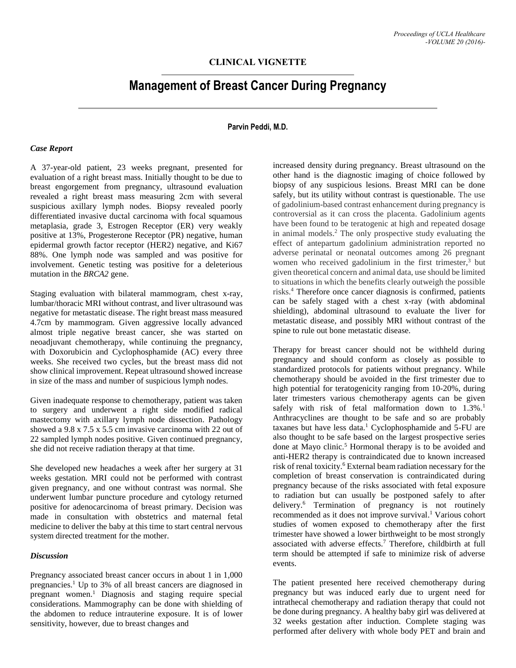# **CLINICAL VIGNETTE**

# **Management of Breast Cancer During Pregnancy**

# **Parvin Peddi, M.D.**

#### *Case Report*

A 37-year-old patient, 23 weeks pregnant, presented for evaluation of a right breast mass. Initially thought to be due to breast engorgement from pregnancy, ultrasound evaluation revealed a right breast mass measuring 2cm with several suspicious axillary lymph nodes. Biopsy revealed poorly differentiated invasive ductal carcinoma with focal squamous metaplasia, grade 3, Estrogen Receptor (ER) very weakly positive at 13%, Progesterone Receptor (PR) negative, human epidermal growth factor receptor (HER2) negative, and Ki67 88%. One lymph node was sampled and was positive for involvement. Genetic testing was positive for a deleterious mutation in the *BRCA2* gene.

Staging evaluation with bilateral mammogram, chest x-ray, lumbar/thoracic MRI without contrast, and liver ultrasound was negative for metastatic disease. The right breast mass measured 4.7cm by mammogram. Given aggressive locally advanced almost triple negative breast cancer, she was started on neoadjuvant chemotherapy, while continuing the pregnancy, with Doxorubicin and Cyclophosphamide (AC) every three weeks. She received two cycles, but the breast mass did not show clinical improvement. Repeat ultrasound showed increase in size of the mass and number of suspicious lymph nodes.

Given inadequate response to chemotherapy, patient was taken to surgery and underwent a right side modified radical mastectomy with axillary lymph node dissection. Pathology showed a 9.8 x 7.5 x 5.5 cm invasive carcinoma with 22 out of 22 sampled lymph nodes positive. Given continued pregnancy, she did not receive radiation therapy at that time.

She developed new headaches a week after her surgery at 31 weeks gestation. MRI could not be performed with contrast given pregnancy, and one without contrast was normal. She underwent lumbar puncture procedure and cytology returned positive for adenocarcinoma of breast primary. Decision was made in consultation with obstetrics and maternal fetal medicine to deliver the baby at this time to start central nervous system directed treatment for the mother.

# *Discussion*

Pregnancy associated breast cancer occurs in about 1 in 1,000 pregnancies. <sup>1</sup> Up to 3% of all breast cancers are diagnosed in pregnant women.<sup>1</sup> Diagnosis and staging require special considerations. Mammography can be done with shielding of the abdomen to reduce intrauterine exposure. It is of lower sensitivity, however, due to breast changes and

increased density during pregnancy. Breast ultrasound on the other hand is the diagnostic imaging of choice followed by biopsy of any suspicious lesions. Breast MRI can be done safely, but its utility without contrast is questionable. The use of gadolinium-based contrast enhancement during pregnancy is controversial as it can cross the placenta. Gadolinium agents have been found to be teratogenic at high and repeated dosage in animal models. <sup>2</sup> The only prospective study evaluating the effect of antepartum gadolinium administration reported no adverse perinatal or neonatal outcomes among 26 pregnant women who received gadolinium in the first trimester, <sup>3</sup> but given theoretical concern and animal data, use should be limited to situations in which the benefits clearly outweigh the possible risks.<sup>4</sup> Therefore once cancer diagnosis is confirmed, patients can be safely staged with a chest x-ray (with abdominal shielding), abdominal ultrasound to evaluate the liver for metastatic disease, and possibly MRI without contrast of the spine to rule out bone metastatic disease.

Therapy for breast cancer should not be withheld during pregnancy and should conform as closely as possible to standardized protocols for patients without pregnancy. While chemotherapy should be avoided in the first trimester due to high potential for teratogenicity ranging from 10-20%, during later trimesters various chemotherapy agents can be given safely with risk of fetal malformation down to 1.3%.<sup>1</sup> Anthracyclines are thought to be safe and so are probably taxanes but have less data.<sup>1</sup> Cyclophosphamide and 5-FU are also thought to be safe based on the largest prospective series done at Mayo clinic.<sup>5</sup> Hormonal therapy is to be avoided and anti-HER2 therapy is contraindicated due to known increased risk of renal toxicity. <sup>6</sup> External beam radiation necessary for the completion of breast conservation is contraindicated during pregnancy because of the risks associated with fetal exposure to radiation but can usually be postponed safely to after delivery. <sup>6</sup> Termination of pregnancy is not routinely recommended as it does not improve survival. <sup>1</sup> Various cohort studies of women exposed to chemotherapy after the first trimester have showed a lower birthweight to be most strongly associated with adverse effects. <sup>7</sup> Therefore, childbirth at full term should be attempted if safe to minimize risk of adverse events.

The patient presented here received chemotherapy during pregnancy but was induced early due to urgent need for intrathecal chemotherapy and radiation therapy that could not be done during pregnancy. A healthy baby girl was delivered at 32 weeks gestation after induction. Complete staging was performed after delivery with whole body PET and brain and